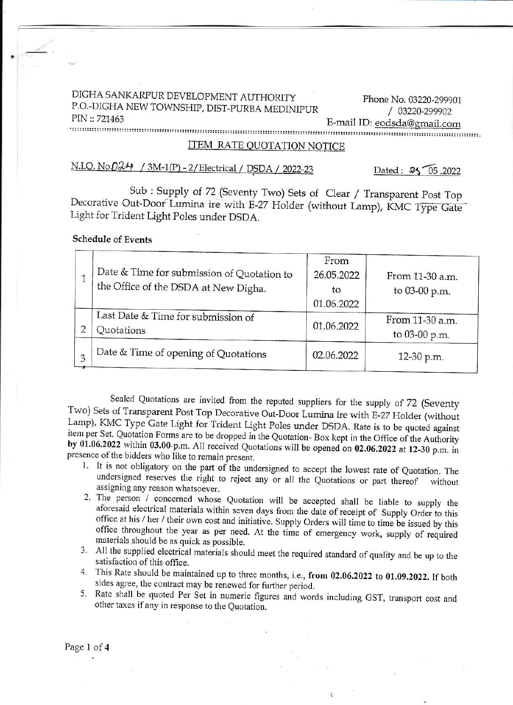# DIGHA SANKARPUR DEVELOPMENT AUTHORITY Phone No. 03220-299901

P.O. DICHA NEW TOWNSHIP, DIST.PURBA MEDINIPUR / A3220.299902 PIN::721453 E\_mail ID: eodscla@gqail.com

#### ITEM RATE OUOTATION NOTICE

## N.I.Q. No. $0\lambda$ <sup>4</sup> / 3M-1(P) - 2/ Electrical / DSDA / 2022-23

Dated:  $25\sqrt{05}$  .2022

Sub : Supply of 72 (Seventy Two) Sets of Clear / Transparent Post Top Decorative Out-Door Lumina ire with E-27 Holder (without Lamp), KMC Type Gate Light for Trident Light Poles under DSDA.

#### Schedule of Events

| Date & Time for submission of Quotation to<br>the Office of the DSDA at New Digha. | From<br>26.05.2022<br>to<br>01.06.2022 | From 11-30 a.m.<br>to 03-00 p.m. |
|------------------------------------------------------------------------------------|----------------------------------------|----------------------------------|
| Last Date & Time for submission of<br>Quotations                                   | 01.06.2022                             | From 11-30 a.m.<br>to 03-00 p.m. |
| Date & Time of opening of Quotations                                               | 02.06.2022                             | 12-30 p.m.                       |

Sealed Quotations are invited from the reputed suppliers for the supply of 72 (Seventy Two) Sets of Transparent Post Top Decorative Out-Door Lumina ire with E-27 Holder (without Lamp), KMC Type Gate Light for Trident Light Poles under DSDA. Rate is to be quoted against<br>item per Set. Quotation Forms are to be dropped in the Quotation-Box kept in the Office of the Authority<br>by 01.06.2022 within 03.0

- undersigned reserves the right to reject any or all the Quotations or part thereof
- 2. The person / concerned whose Quotation will be accepted shall be liable to supply the aforesaid electrical materials within seven days from the date of receipt of Supply Order to this office at his / her / their own cos office throughout the year as per need. At the time of emergency work, supply of required
- 3. All the supplied electrical materials should meet the required standard of quality and be up to the satisfaction of this office.
- 4. This Rate should be maintained up to three months, i.e., from 02.06.2022 to 01.09.2022. If both sides agree, the contract may be renewed for further period.
- sides agree, the contract may be renewed for further period.<br>5. Rate shall be quoted Per Set in numeric figures and words including GST, transport cost and other taxes if any in response to the Quotation.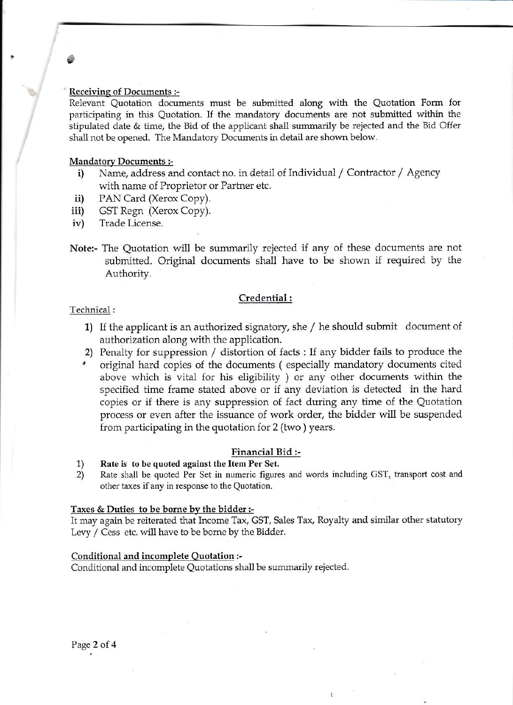#### Receiving of Documents :-

Relevant Quotation documents must be submitted along with the Quotation Form Ior pariicipating in this Quotation. If the mandatory documents are not subnitted within the stipulated date & time, the Bid of the applicant shall summarily be rejected and the Bid Offer shall not be opened. The Mandatory Documents in detail are shown below.

#### Mandatory Documents :-

- i) Name, address and contact no. in detail of Individual / Contractor / Agency with name of Proprietor or Partner etc.
- PAN Card (Xerox Copy). ii)
- GSI Regn (Xerox Copy). iii)
- Trade License. iv)
- Note:- The Quotation will be summarily rejected if any of these documents are not submitted. Original documents shall have to be shown if required by the Authority.

#### Credential:

#### Technical :

 $\frac{1}{2}$ 

i;

- 1) II the applicant is an authorized signatory, she / he should submit document of authorization along with the application.
- 2) Penalty for suppression / distortion of facts : If any bidder fails to produce the
- original hard copies of the documents (especially mandatory documents cited above which is vital for his eligibility ) or any other documents within the specified time frame stated above or if any deviation is detected in the hard copies or if there is any suppression of fact during any time of the Quotation process or even after the issuance of work order, the bidder will be suspended from participating in the quotation for  $2$  (two) years.

#### Financial Bid :-

- 1) Rate is to be quoted against the Item Per Set.<br>2) Rate shall be quoted Per Set in numeric figure
- Rate shall be quoted Per Set in numeric figures and words including GST, transport cost and other taxes if any in response to the Quotation.

#### Taxes & Dutics to be bome by the bidder:-

It may again be reiterated that Income Tax, GST, Sales Tax, Royalty and similar other statutory Levy / Cess etc. will have to be borne by the Bidder.

#### Conditional and incomplete Ouotation :-

Conditional and incomplete Quotations shall be summarily rejected.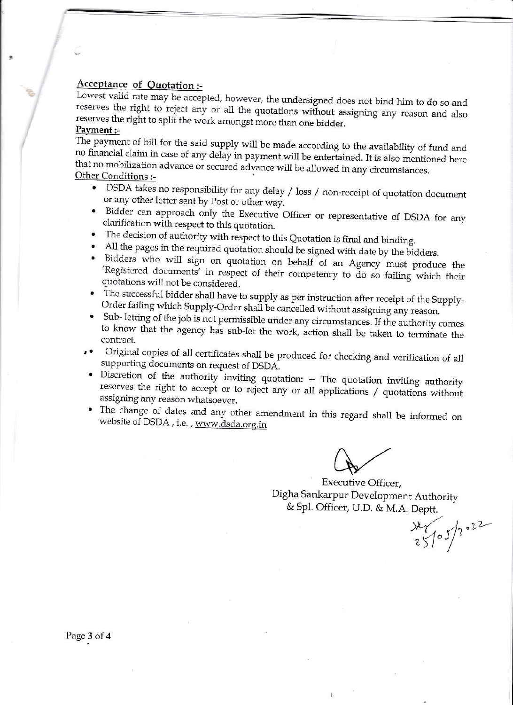### Acceptance of Quotation:-

Lowest valid rate may be accepted, however, the undersigned does not bind him to do so and reserves the right to reject any or all the quotations without assigning any reason and also reserves the right to split the work amongst more than one bidder. Payment :-

The payment of bill for the said supply will be made according to the availability of fund and no financial claim in case of any delay in payment will be entertained. It is also mentioned here that no mobilization advance or secured advance will be allowed in any circumstances.

### Other Conditions :-

- DSDA takes no responsibility for any delay / loss / non-receipt of quotation document or any other letter sent by Post or other way.
- Bidder can approach only the Executive Officer or representative of DSDA for any clarification with respect to this quotation.
- The decision of authority with respect to this Quotation is final and binding.
- All the pages in the required quotation should be signed with date by the bidders.
- · Bidders who will sign on quotation on behalf of an Agency must produce the 'Registered documents' in respect of their competency to do so failing which their quotations will not be considered.
- The successful bidder shall have to supply as per instruction after receipt of the Supply-Order failing which Supply-Order shall be cancelled without assigning any reason.
- Sub-letting of the job is not permissible under any circumstances. If the authority comes to know that the agency has sub-let the work, action shall be taken to terminate the contract.
- . Original copies of all certificates shall be produced for checking and verification of all supporting documents on request of DSDA.
- · Discretion of the authority inviting quotation: -- The quotation inviting authority reserves the right to accept or to reject any or all applications / quotations without assigning any reason whatsoever.
- The change of dates and any other amendment in this regard shall be informed on website of DSDA, i.e., www.dsda.org.in

Executive Officer, Digha Sankarpur Development Authority & Spl. Officer, U.D. & M.A. Deptt.

 $x^2$  /05/2022